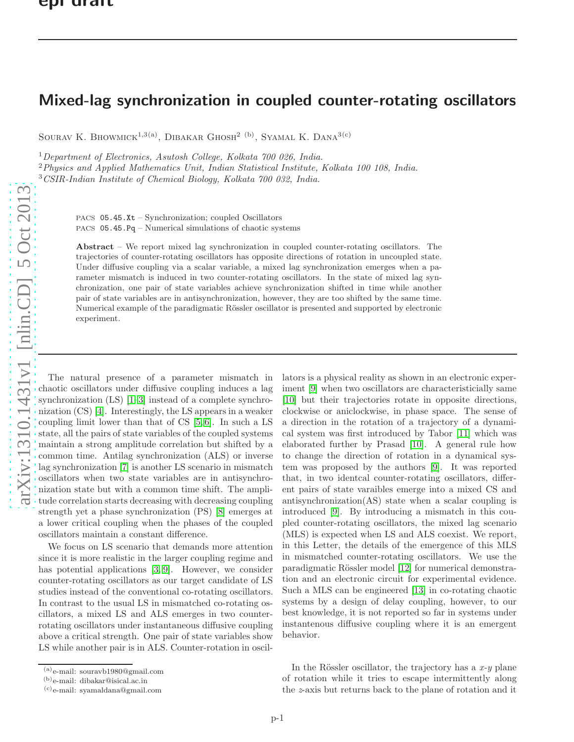## Mixed-lag synchronization in coupled counter-rotating oscillators

SOURAV K. BHOWMICK<sup>1,3(a)</sup>, DIBAKAR GHOSH<sup>2 (b)</sup>, SYAMAL K. DANA<sup>3(c)</sup>

 $1$ Department of Electronics, Asutosh College, Kolkata 700 026, India.

<sup>2</sup>Physics and Applied Mathematics Unit, Indian Statistical Institute, Kolkata 100 108, India.

<sup>3</sup>CSIR-Indian Institute of Chemical Biology, Kolkata 700 032, India.

PACS 05.45.Xt – Synchronization; coupled Oscillators PACS 05.45.Pq – Numerical simulations of chaotic systems

Abstract – We report mixed lag synchronization in coupled counter-rotating oscillators. The trajectories of counter-rotating oscillators has opposite directions of rotation in uncoupled state. Under diffusive coupling via a scalar variable, a mixed lag synchronization emerges when a parameter mismatch is induced in two counter-rotating oscillators. In the state of mixed lag synchronization, one pair of state variables achieve synchronization shifted in time while another pair of state variables are in antisynchronization, however, they are too shifted by the same time. Numerical example of the paradigmatic Rössler oscillator is presented and supported by electronic experiment.

The natural presence of a parameter mismatch in chaotic oscillators under diffusive coupling induces a lag synchronization (LS) [\[1–](#page-3-0)[3\]](#page-3-1) instead of a complete synchronization (CS) [\[4\]](#page-3-2). Interestingly, the LS appears in a weaker coupling limit lower than that of CS [\[5,](#page-3-3) [6\]](#page-3-4). In such a LS state, all the pairs of state variables of the coupled systems maintain a strong amplitude correlation but shifted by a common time. Antilag synchronization (ALS) or inverse lag synchronization [\[7\]](#page-3-5) is another LS scenario in mismatch oscillators when two state variables are in antisynchronization state but with a common time shift. The amplitude correlation starts decreasing with decreasing coupling strength yet a phase synchronization (PS) [\[8\]](#page-3-6) emerges at a lower critical coupling when the phases of the coupled oscillators maintain a constant difference.

We focus on LS scenario that demands more attention since it is more realistic in the larger coupling regime and has potential applications [\[3,](#page-3-1) [9\]](#page-3-7). However, we consider counter-rotating oscillators as our target candidate of LS studies instead of the conventional co-rotating oscillators. In contrast to the usual LS in mismatched co-rotating oscillators, a mixed LS and ALS emerges in two counterrotating oscillators under instantaneous diffusive coupling above a critical strength. One pair of state variables show LS while another pair is in ALS. Counter-rotation in oscillators is a physical reality as shown in an electronic experiment [\[9\]](#page-3-7) when two oscillators are characteristicially same [\[10\]](#page-3-8) but their trajectories rotate in opposite directions, clockwise or aniclockwise, in phase space. The sense of a direction in the rotation of a trajectory of a dynamical system was first introduced by Tabor [\[11\]](#page-3-9) which was elaborated further by Prasad [\[10\]](#page-3-8). A general rule how to change the direction of rotation in a dynamical system was proposed by the authors [\[9\]](#page-3-7). It was reported that, in two identcal counter-rotating oscillators, different pairs of state varaibles emerge into a mixed CS and antisynchronization(AS) state when a scalar coupling is introduced [\[9\]](#page-3-7). By introducing a mismatch in this coupled counter-rotating oscillators, the mixed lag scenario (MLS) is expected when LS and ALS coexist. We report, in this Letter, the details of the emergence of this MLS in mismatched counter-rotating oscillators. We use the paradigmatic Rössler model [\[12\]](#page-3-10) for numerical demonstration and an electronic circuit for experimental evidence. Such a MLS can be engineered [\[13\]](#page-3-11) in co-rotating chaotic systems by a design of delay coupling, however, to our best knowledge, it is not reported so far in systems under instantenous diffusive coupling where it is an emergent behavior.

In the Rössler oscillator, the trajectory has a  $x-y$  plane of rotation while it tries to escape intermittently along the z-axis but returns back to the plane of rotation and it

<sup>(</sup>a)e-mail: souravb1980@gmail.com

<sup>(</sup>b)e-mail: dibakar@isical.ac.in

<sup>(</sup>c)e-mail: syamaldana@gmail.com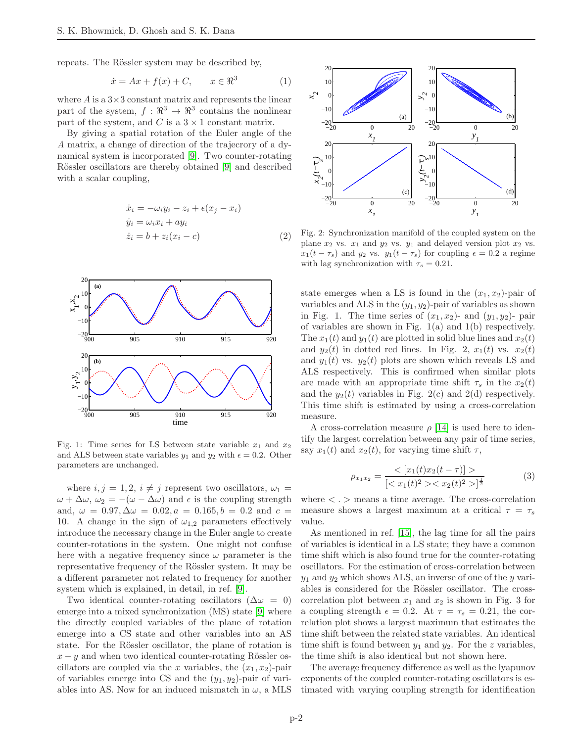repeats. The Rössler system may be described by,

$$
\dot{x} = Ax + f(x) + C, \qquad x \in \Re^3 \tag{1}
$$

where  $A$  is a  $3\times 3$  constant matrix and represents the linear part of the system,  $f: \mathbb{R}^3 \to \mathbb{R}^3$  contains the nonlinear part of the system, and C is a  $3 \times 1$  constant matrix.

By giving a spatial rotation of the Euler angle of the A matrix, a change of direction of the trajecrory of a dynamical system is incorporated [\[9\]](#page-3-7). Two counter-rotating Rössler oscillators are thereby obtained [\[9\]](#page-3-7) and described with a scalar coupling,

$$
\begin{aligned}\n\dot{x}_i &= -\omega_i y_i - z_i + \epsilon (x_j - x_i) \\
\dot{y}_i &= \omega_i x_i + a y_i \\
\dot{z}_i &= b + z_i (x_i - c)\n\end{aligned} \tag{2}
$$



Fig. 1: Time series for LS between state variable  $x_1$  and  $x_2$ and ALS between state variables  $y_1$  and  $y_2$  with  $\epsilon = 0.2$ . Other parameters are unchanged.

where  $i, j = 1, 2, i \neq j$  represent two oscillators,  $\omega_1 =$  $\omega + \Delta \omega$ ,  $\omega_2 = -(\omega - \Delta \omega)$  and  $\epsilon$  is the coupling strength and,  $\omega = 0.97, \Delta\omega = 0.02, a = 0.165, b = 0.2$  and  $c =$ 10. A change in the sign of  $\omega_{1,2}$  parameters effectively introduce the necessary change in the Euler angle to create counter-rotations in the system. One might not confuse here with a negative frequency since  $\omega$  parameter is the representative frequency of the Rössler system. It may be a different parameter not related to frequency for another system which is explained, in detail, in ref. [\[9\]](#page-3-7).

Two identical counter-rotating oscillators ( $\Delta \omega = 0$ ) emerge into a mixed synchronization (MS) state [\[9\]](#page-3-7) where the directly coupled variables of the plane of rotation emerge into a CS state and other variables into an AS state. For the Rössler oscillator, the plane of rotation is  $x - y$  and when two identical counter-rotating Rössler oscillators are coupled via the x variables, the  $(x_1, x_2)$ -pair of variables emerge into CS and the  $(y_1, y_2)$ -pair of variables into AS. Now for an induced mismatch in  $\omega$ , a MLS



Fig. 2: Synchronization manifold of the coupled system on the plane  $x_2$  vs.  $x_1$  and  $y_2$  vs.  $y_1$  and delayed version plot  $x_2$  vs.  $x_1(t - \tau_s)$  and  $y_2$  vs.  $y_1(t - \tau_s)$  for coupling  $\epsilon = 0.2$  a regime with lag synchronization with  $\tau_s = 0.21$ .

state emerges when a LS is found in the  $(x_1, x_2)$ -pair of variables and ALS in the  $(y_1, y_2)$ -pair of variables as shown in Fig. 1. The time series of  $(x_1, x_2)$ - and  $(y_1, y_2)$ - pair of variables are shown in Fig. 1(a) and 1(b) respectively. The  $x_1(t)$  and  $y_1(t)$  are plotted in solid blue lines and  $x_2(t)$ and  $y_2(t)$  in dotted red lines. In Fig. 2,  $x_1(t)$  vs.  $x_2(t)$ and  $y_1(t)$  vs.  $y_2(t)$  plots are shown which reveals LS and ALS respectively. This is confirmed when similar plots are made with an appropriate time shift  $\tau_s$  in the  $x_2(t)$ and the  $y_2(t)$  variables in Fig. 2(c) and 2(d) respectively. This time shift is estimated by using a cross-correlation measure.

A cross-correlation measure  $\rho$  [\[14\]](#page-3-12) is used here to identify the largest correlation between any pair of time series, say  $x_1(t)$  and  $x_2(t)$ , for varying time shift  $\tau$ ,

$$
\rho_{x_1 x_2} = \frac{< [x_1(t)x_2(t-\tau)]>}{[< x_1(t)^2 > x_2(t)^2>]^{\frac{1}{2}}}
$$
\n<sup>(3)</sup>

where  $\langle . \rangle$  means a time average. The cross-correlation measure shows a largest maximum at a critical  $\tau = \tau_s$ value.

As mentioned in ref. [\[15\]](#page-3-13), the lag time for all the pairs of variables is identical in a LS state; they have a common time shift which is also found true for the counter-rotating oscillators. For the estimation of cross-correlation between  $y_1$  and  $y_2$  which shows ALS, an inverse of one of the y variables is considered for the Rössler oscillator. The crosscorrelation plot between  $x_1$  and  $x_2$  is shown in Fig. 3 for a coupling strength  $\epsilon = 0.2$ . At  $\tau = \tau_s = 0.21$ , the correlation plot shows a largest maximum that estimates the time shift between the related state variables. An identical time shift is found between  $y_1$  and  $y_2$ . For the z variables, the time shift is also identical but not shown here.

The average frequency difference as well as the lyapunov exponents of the coupled counter-rotating oscillators is estimated with varying coupling strength for identification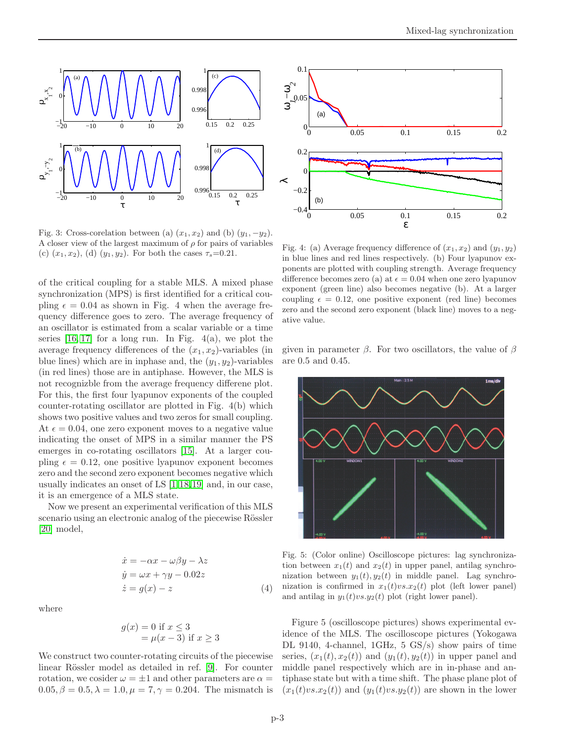

Fig. 3: Cross-corelation between (a)  $(x_1, x_2)$  and (b)  $(y_1, -y_2)$ . A closer view of the largest maximum of  $\rho$  for pairs of variables (c)  $(x_1, x_2)$ , (d)  $(y_1, y_2)$ . For both the cases  $\tau_s = 0.21$ .

of the critical coupling for a stable MLS. A mixed phase synchronization (MPS) is first identified for a critical coupling  $\epsilon = 0.04$  as shown in Fig. 4 when the average frequency difference goes to zero. The average frequency of an oscillator is estimated from a scalar variable or a time series  $[16, 17]$  $[16, 17]$  for a long run. In Fig.  $4(a)$ , we plot the average frequency differences of the  $(x_1, x_2)$ -variables (in blue lines) which are in inphase and, the  $(y_1, y_2)$ -variables (in red lines) those are in antiphase. However, the MLS is not recognizble from the average frequency differene plot. For this, the first four lyapunov exponents of the coupled counter-rotating oscillator are plotted in Fig. 4(b) which shows two positive values and two zeros for small coupling. At  $\epsilon = 0.04$ , one zero exponent moves to a negative value indicating the onset of MPS in a similar manner the PS emerges in co-rotating oscillators [\[15\]](#page-3-13). At a larger coupling  $\epsilon = 0.12$ , one positive lyapunov exponent becomes zero and the second zero exponent becomes negative which usually indicates an onset of LS [\[1,](#page-3-0)[18,](#page-3-16)[19\]](#page-3-17) and, in our case, it is an emergence of a MLS state.

Now we present an experimental verification of this MLS scenario using an electronic analog of the piecewise Rössler [\[20\]](#page-3-18) model,

$$
\begin{aligned}\n\dot{x} &= -\alpha x - \omega \beta y - \lambda z \\
\dot{y} &= \omega x + \gamma y - 0.02z \\
\dot{z} &= g(x) - z\n\end{aligned} \tag{4}
$$

where

$$
g(x) = 0
$$
 if  $x \le 3$   
=  $\mu(x-3)$  if  $x \ge 3$ 

We construct two counter-rotating circuits of the piecewise linear Rössler model as detailed in ref. [\[9\]](#page-3-7). For counter rotation, we cosider  $\omega = \pm 1$  and other parameters are  $\alpha =$  $0.05, \beta = 0.5, \lambda = 1.0, \mu = 7, \gamma = 0.204$ . The mismatch is



Fig. 4: (a) Average frequency difference of  $(x_1, x_2)$  and  $(y_1, y_2)$ in blue lines and red lines respectively. (b) Four lyapunov exponents are plotted with coupling strength. Average frequency difference becomes zero (a) at  $\epsilon = 0.04$  when one zero lyapunov exponent (green line) also becomes negative (b). At a larger coupling  $\epsilon = 0.12$ , one positive exponent (red line) becomes zero and the second zero exponent (black line) moves to a negative value.

given in parameter  $\beta$ . For two oscillators, the value of  $\beta$ are 0.5 and 0.45.



Fig. 5: (Color online) Oscilloscope pictures: lag synchronization between  $x_1(t)$  and  $x_2(t)$  in upper panel, antilag synchronization between  $y_1(t)$ ,  $y_2(t)$  in middle panel. Lag synchronization is confirmed in  $x_1(t)v s.x_2(t)$  plot (left lower panel) and antilag in  $y_1(t) \nu s \cdot y_2(t)$  plot (right lower panel).

Figure 5 (oscilloscope pictures) shows experimental evidence of the MLS. The oscilloscope pictures (Yokogawa DL 9140, 4-channel, 1GHz, 5 GS/s) show pairs of time series,  $(x_1(t), x_2(t))$  and  $(y_1(t), y_2(t))$  in upper panel and middle panel respectively which are in in-phase and antiphase state but with a time shift. The phase plane plot of  $(x_1(t)v s.x_2(t))$  and  $(y_1(t)v s.y_2(t))$  are shown in the lower